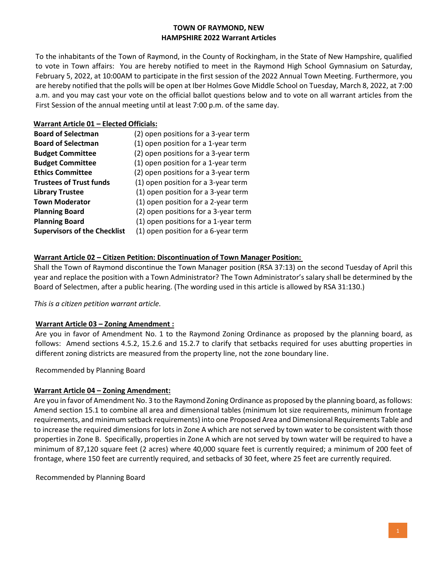## **TOWN OF RAYMOND, NEW HAMPSHIRE 2022 Warrant Articles**

To the inhabitants of the Town of Raymond, in the County of Rockingham, in the State of New Hampshire, qualified to vote in Town affairs: You are hereby notified to meet in the Raymond High School Gymnasium on Saturday, February 5, 2022, at 10:00AM to participate in the first session of the 2022 Annual Town Meeting. Furthermore, you are hereby notified that the polls will be open at Iber Holmes Gove Middle School on Tuesday, March 8, 2022, at 7:00 a.m. and you may cast your vote on the official ballot questions below and to vote on all warrant articles from the First Session of the annual meeting until at least 7:00 p.m. of the same day.

### **Warrant Article 01 – Elected Officials:**

| <b>Board of Selectman</b>           | (2) open positions for a 3-year term |
|-------------------------------------|--------------------------------------|
| <b>Board of Selectman</b>           | (1) open position for a 1-year term  |
| <b>Budget Committee</b>             | (2) open positions for a 3-year term |
| <b>Budget Committee</b>             | (1) open position for a 1-year term  |
| <b>Ethics Committee</b>             | (2) open positions for a 3-year term |
| <b>Trustees of Trust funds</b>      | (1) open position for a 3-year term  |
| <b>Library Trustee</b>              | (1) open position for a 3-year term  |
| <b>Town Moderator</b>               | (1) open position for a 2-year term  |
| <b>Planning Board</b>               | (2) open positions for a 3-year term |
| <b>Planning Board</b>               | (1) open positions for a 1-year term |
| <b>Supervisors of the Checklist</b> | (1) open position for a 6-year term  |

### **Warrant Article 02 – Citizen Petition: Discontinuation of Town Manager Position:**

Shall the Town of Raymond discontinue the Town Manager position (RSA 37:13) on the second Tuesday of April this year and replace the position with a Town Administrator? The Town Administrator's salary shall be determined by the Board of Selectmen, after a public hearing. (The wording used in this article is allowed by RSA 31:130.)

*This is a citizen petition warrant article.*

### **Warrant Article 03 – Zoning Amendment :**

Are you in favor of Amendment No. 1 to the Raymond Zoning Ordinance as proposed by the planning board, as follows: Amend sections 4.5.2, 15.2.6 and 15.2.7 to clarify that setbacks required for uses abutting properties in different zoning districts are measured from the property line, not the zone boundary line.

Recommended by Planning Board

### **Warrant Article 04 – Zoning Amendment:**

Are you in favor of Amendment No. 3 to the Raymond Zoning Ordinance as proposed by the planning board, as follows: Amend section 15.1 to combine all area and dimensional tables (minimum lot size requirements, minimum frontage requirements, and minimum setback requirements) into one Proposed Area and Dimensional Requirements Table and to increase the required dimensions for lots in Zone A which are not served by town water to be consistent with those properties in Zone B. Specifically, properties in Zone A which are not served by town water will be required to have a minimum of 87,120 square feet (2 acres) where 40,000 square feet is currently required; a minimum of 200 feet of frontage, where 150 feet are currently required, and setbacks of 30 feet, where 25 feet are currently required.

Recommended by Planning Board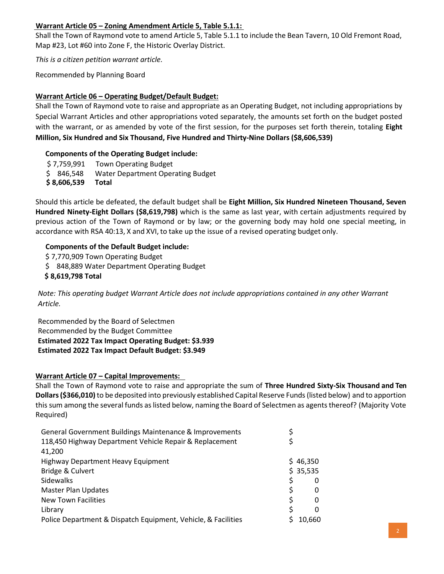# **Warrant Article 05 – Zoning Amendment Article 5, Table 5.1.1:**

Shall the Town of Raymond vote to amend Article 5, Table 5.1.1 to include the Bean Tavern, 10 Old Fremont Road, Map #23, Lot #60 into Zone F, the Historic Overlay District.

*This is a citizen petition warrant article.*

Recommended by Planning Board

### **Warrant Article 06 – Operating Budget/Default Budget:**

Shall the Town of Raymond vote to raise and appropriate as an Operating Budget, not including appropriations by Special Warrant Articles and other appropriations voted separately, the amounts set forth on the budget posted with the warrant, or as amended by vote of the first session, for the purposes set forth therein, totaling **Eight Million, Six Hundred and Six Thousand, Five Hundred and Thirty-Nine Dollars (\$8,606,539)**

### **Components of the Operating Budget include:**

\$ 7,759,991 Town Operating Budget \$ 846,548 Water Department Operating Budget **\$ 8,606,539 Total**

Should this article be defeated, the default budget shall be **Eight Million, Six Hundred Nineteen Thousand, Seven Hundred Ninety-Eight Dollars (\$8,619,798)** which is the same as last year, with certain adjustments required by previous action of the Town of Raymond or by law; or the governing body may hold one special meeting, in accordance with RSA 40:13, X and XVI, to take up the issue of a revised operating budget only.

# **Components of the Default Budget include:**

- \$ 7,770,909 Town Operating Budget
- \$ 848,889 Water Department Operating Budget

**\$ 8,619,798 Total**

*Note: This operating budget Warrant Article does not include appropriations contained in any other Warrant Article.*

Recommended by the Board of Selectmen Recommended by the Budget Committee **Estimated 2022 Tax Impact Operating Budget: \$3.939 Estimated 2022 Tax Impact Default Budget: \$3.949**

### **Warrant Article 07 – Capital Improvements:**

Shall the Town of Raymond vote to raise and appropriate the sum of **Three Hundred Sixty-Six Thousand and Ten Dollars(\$366,010)**to be deposited into previously established Capital Reserve Funds(listed below) and to apportion this sum among the several funds as listed below, naming the Board of Selectmen as agents thereof? (Majority Vote Required)

| General Government Buildings Maintenance & Improvements       |    |              |
|---------------------------------------------------------------|----|--------------|
| 118,450 Highway Department Vehicle Repair & Replacement       |    |              |
| 41,200                                                        |    |              |
| Highway Department Heavy Equipment                            |    | \$46,350     |
| Bridge & Culvert                                              |    | \$35,535     |
| Sidewalks                                                     | Ś  | 0            |
| <b>Master Plan Updates</b>                                    | S  | 0            |
| New Town Facilities                                           | S. | 0            |
| Library                                                       |    | <sup>0</sup> |
| Police Department & Dispatch Equipment, Vehicle, & Facilities |    | 10.660       |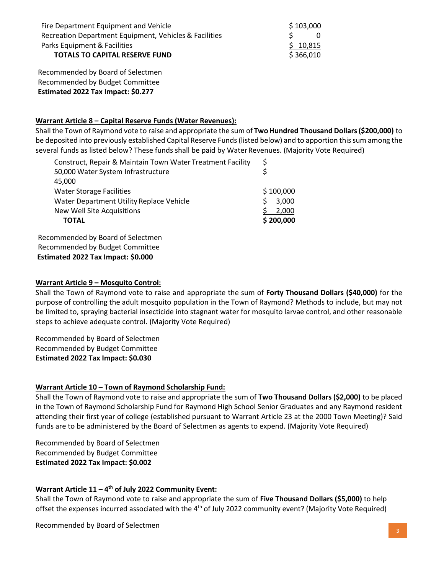| Fire Department Equipment and Vehicle                  | \$103,000 |
|--------------------------------------------------------|-----------|
| Recreation Department Equipment, Vehicles & Facilities | -0        |
| Parks Equipment & Facilities                           | \$10,815  |
| <b>TOTALS TO CAPITAL RESERVE FUND</b>                  | \$366,010 |

Recommended by Board of Selectmen Recommended by Budget Committee **Estimated 2022 Tax Impact: \$0.277**

## **Warrant Article 8 – Capital Reserve Funds (Water Revenues):**

Shall the Town of Raymond vote to raise and appropriate the sum of **TwoHundred Thousand Dollars(\$200,000)** to be deposited into previously established Capital Reserve Funds(listed below) and to apportion thissum among the several funds as listed below? These funds shall be paid by Water Revenues. (Majority Vote Required)

| Construct, Repair & Maintain Town Water Treatment Facility | \$         |
|------------------------------------------------------------|------------|
| 50,000 Water System Infrastructure                         |            |
| 45,000                                                     |            |
| <b>Water Storage Facilities</b>                            | \$100,000  |
| Water Department Utility Replace Vehicle                   | 3,000<br>S |
| New Well Site Acquisitions                                 | 2.000      |
| <b>TOTAL</b>                                               | \$200,000  |
|                                                            |            |

Recommended by Board of Selectmen Recommended by Budget Committee **Estimated 2022 Tax Impact: \$0.000**

## **Warrant Article 9 – Mosquito Control:**

Shall the Town of Raymond vote to raise and appropriate the sum of **Forty Thousand Dollars (\$40,000)** for the purpose of controlling the adult mosquito population in the Town of Raymond? Methods to include, but may not be limited to, spraying bacterial insecticide into stagnant water for mosquito larvae control, and other reasonable steps to achieve adequate control. (Majority Vote Required)

Recommended by Board of Selectmen Recommended by Budget Committee **Estimated 2022 Tax Impact: \$0.030**

# **Warrant Article 10 – Town of Raymond Scholarship Fund:**

Shall the Town of Raymond vote to raise and appropriate the sum of **Two Thousand Dollars (\$2,000)** to be placed in the Town of Raymond Scholarship Fund for Raymond High School Senior Graduates and any Raymond resident attending their first year of college (established pursuant to Warrant Article 23 at the 2000 Town Meeting)? Said funds are to be administered by the Board of Selectmen as agents to expend. (Majority Vote Required)

Recommended by Board of Selectmen Recommended by Budget Committee **Estimated 2022 Tax Impact: \$0.002**

# **Warrant Article 11 – 4 th of July 2022 Community Event:**

Shall the Town of Raymond vote to raise and appropriate the sum of **Five Thousand Dollars (\$5,000)** to help offset the expenses incurred associated with the 4<sup>th</sup> of July 2022 community event? (Majority Vote Required)

Recommended by Board of Selectmen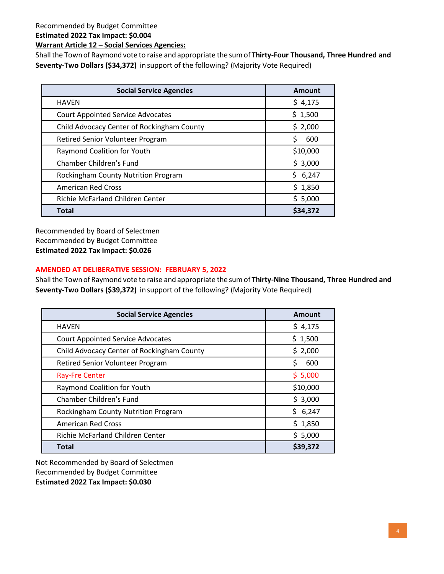Recommended by Budget Committee

**Estimated 2022 Tax Impact: \$0.004**

**Warrant Article 12 – Social Services Agencies:**

Shall the Town of Raymond vote to raise and appropriate the sum of Thirty-Four Thousand, Three Hundred and **Seventy-Two Dollars (\$34,372)** in support of the following? (Majority Vote Required)

| <b>Social Service Agencies</b>             | <b>Amount</b> |
|--------------------------------------------|---------------|
| <b>HAVEN</b>                               | \$4,175       |
| <b>Court Appointed Service Advocates</b>   | \$1,500       |
| Child Advocacy Center of Rockingham County | \$2,000       |
| Retired Senior Volunteer Program           | Ś<br>600      |
| Raymond Coalition for Youth                | \$10,000      |
| Chamber Children's Fund                    | \$3,000       |
| Rockingham County Nutrition Program        | \$6,247       |
| <b>American Red Cross</b>                  | \$1,850       |
| Richie McFarland Children Center           | \$5,000       |
| <b>Total</b>                               | \$34,372      |

Recommended by Board of Selectmen Recommended by Budget Committee **Estimated 2022 Tax Impact: \$0.026**

# **AMENDED AT DELIBERATIVE SESSION: FEBRUARY 5, 2022**

Shallthe Townof Raymondvote to raise and appropriate the sumof **Thirty-Nine Thousand, Three Hundred and Seventy-Two Dollars (\$39,372)** in support of the following? (Majority Vote Required)

| <b>Social Service Agencies</b>             | Amount    |
|--------------------------------------------|-----------|
| <b>HAVEN</b>                               | \$4,175   |
| <b>Court Appointed Service Advocates</b>   | \$1,500   |
| Child Advocacy Center of Rockingham County | \$2,000   |
| Retired Senior Volunteer Program           | \$<br>600 |
| <b>Ray-Fre Center</b>                      | \$5,000   |
| Raymond Coalition for Youth                | \$10,000  |
| Chamber Children's Fund                    | \$3,000   |
| Rockingham County Nutrition Program        | \$6,247   |
| <b>American Red Cross</b>                  | \$1,850   |
| Richie McFarland Children Center           | \$5,000   |
| <b>Total</b>                               | \$39,372  |

Not Recommended by Board of Selectmen Recommended by Budget Committee **Estimated 2022 Tax Impact: \$0.030**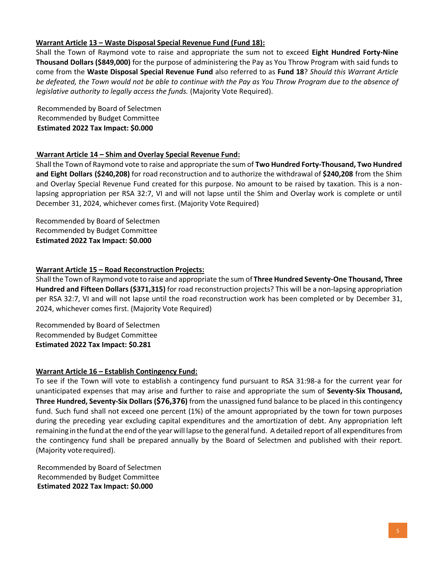# **Warrant Article 13 – Waste Disposal Special Revenue Fund (Fund 18):**

Shall the Town of Raymond vote to raise and appropriate the sum not to exceed **Eight Hundred Forty-Nine Thousand Dollars (\$849,000)** for the purpose of administering the Pay as You Throw Program with said funds to come from the **Waste Disposal Special Revenue Fund** also referred to as **Fund 18**? *Should this Warrant Article be defeated, the Town would not be able to continue with the Pay as You Throw Program due to the absence of legislative authority to legally access the funds.* (Majority Vote Required).

Recommended by Board of Selectmen Recommended by Budget Committee **Estimated 2022 Tax Impact: \$0.000**

### **Warrant Article 14 – Shim and Overlay Special Revenue Fund:**

Shall the Town of Raymond vote to raise and appropriate the sum of **Two Hundred Forty-Thousand, Two Hundred and Eight Dollars (\$240,208)** for road reconstruction and to authorize the withdrawal of **\$240,208** from the Shim and Overlay Special Revenue Fund created for this purpose. No amount to be raised by taxation. This is a nonlapsing appropriation per RSA 32:7, VI and will not lapse until the Shim and Overlay work is complete or until December 31, 2024, whichever comes first. (Majority Vote Required)

Recommended by Board of Selectmen Recommended by Budget Committee **Estimated 2022 Tax Impact: \$0.000**

### **Warrant Article 15 – Road Reconstruction Projects:**

Shall the Town of Raymond vote to raise and appropriate the sum of **Three Hundred Seventy-One Thousand, Three Hundred and Fifteen Dollars (\$371,315)** for road reconstruction projects? This will be a non-lapsing appropriation per RSA 32:7, VI and will not lapse until the road reconstruction work has been completed or by December 31, 2024, whichever comes first. (Majority Vote Required)

Recommended by Board of Selectmen Recommended by Budget Committee  **Estimated 2022 Tax Impact: \$0.281**

### **Warrant Article 16 – Establish Contingency Fund:**

To see if the Town will vote to establish a contingency fund pursuant to RSA 31:98-a for the current year for unanticipated expenses that may arise and further to raise and appropriate the sum of **Seventy-Six Thousand, Three Hundred, Seventy-Six Dollars (\$76,376)** from the unassigned fund balance to be placed in this contingency fund. Such fund shall not exceed one percent (1%) of the amount appropriated by the town for town purposes during the preceding year excluding capital expenditures and the amortization of debt. Any appropriation left remaining in the fund at the end of the year will lapse to the general fund. A detailed report of all expenditures from the contingency fund shall be prepared annually by the Board of Selectmen and published with their report. (Majority vote required).

Recommended by Board of Selectmen Recommended by Budget Committee **Estimated 2022 Tax Impact: \$0.000**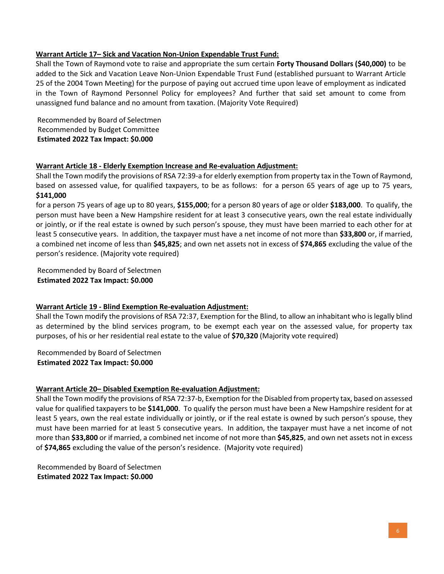# **Warrant Article 17– Sick and Vacation Non-Union Expendable Trust Fund:**

Shall the Town of Raymond vote to raise and appropriate the sum certain **Forty Thousand Dollars (\$40,000)** to be added to the Sick and Vacation Leave Non-Union Expendable Trust Fund (established pursuant to Warrant Article 25 of the 2004 Town Meeting) for the purpose of paying out accrued time upon leave of employment as indicated in the Town of Raymond Personnel Policy for employees? And further that said set amount to come from unassigned fund balance and no amount from taxation. (Majority Vote Required)

Recommended by Board of Selectmen Recommended by Budget Committee **Estimated 2022 Tax Impact: \$0.000**

# **Warrant Article 18 - Elderly Exemption Increase and Re-evaluation Adjustment:**

Shall the Town modify the provisions of RSA 72:39-a for elderly exemption from property tax in the Town of Raymond, based on assessed value, for qualified taxpayers, to be as follows: for a person 65 years of age up to 75 years, **\$141,000**

for a person 75 years of age up to 80 years, **\$155,000**; for a person 80 years of age or older **\$183,000**. To qualify, the person must have been a New Hampshire resident for at least 3 consecutive years, own the real estate individually or jointly, or if the real estate is owned by such person's spouse, they must have been married to each other for at least 5 consecutive years. In addition, the taxpayer must have a net income of not more than **\$33,800** or, if married, a combined net income of less than **\$45,825**; and own net assets not in excess of **\$74,865** excluding the value of the person's residence. (Majority vote required)

Recommended by Board of Selectmen **Estimated 2022 Tax Impact: \$0.000**

### **Warrant Article 19 - Blind Exemption Re-evaluation Adjustment:**

Shall the Town modify the provisions of RSA 72:37, Exemption for the Blind, to allow an inhabitant who is legally blind as determined by the blind services program, to be exempt each year on the assessed value, for property tax purposes, of his or her residential real estate to the value of **\$70,320** (Majority vote required)

Recommended by Board of Selectmen **Estimated 2022 Tax Impact: \$0.000**

### **Warrant Article 20– Disabled Exemption Re-evaluation Adjustment:**

Shall the Town modify the provisions of RSA 72:37-b, Exemption for the Disabled from property tax, based on assessed value for qualified taxpayers to be **\$141,000**. To qualify the person must have been a New Hampshire resident for at least 5 years, own the real estate individually or jointly, or if the real estate is owned by such person's spouse, they must have been married for at least 5 consecutive years. In addition, the taxpayer must have a net income of not more than **\$33,800** or if married, a combined net income of not more than **\$45,825**, and own net assets not in excess of **\$74,865** excluding the value of the person's residence. (Majority vote required)

Recommended by Board of Selectmen **Estimated 2022 Tax Impact: \$0.000**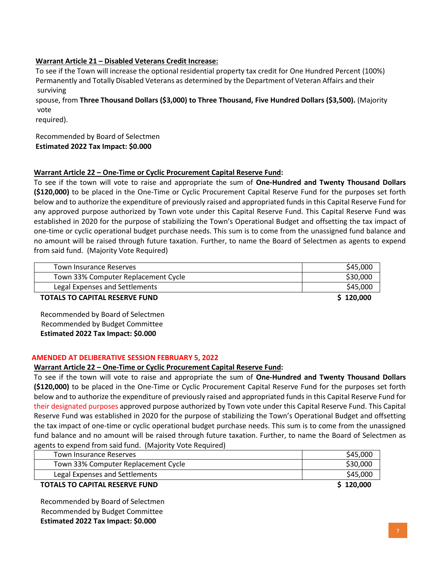# **Warrant Article 21 – Disabled Veterans Credit Increase:**

To see if the Town will increase the optional residential property tax credit for One Hundred Percent (100%) Permanently and Totally Disabled Veterans as determined by the Department of Veteran Affairs and their surviving

spouse, from **Three Thousand Dollars (\$3,000) to Three Thousand, Five Hundred Dollars (\$3,500).** (Majority vote

required).

#### Recommended by Board of Selectmen **Estimated 2022 Tax Impact: \$0.000**

# **Warrant Article 22 – One-Time or Cyclic Procurement Capital Reserve Fund:**

To see if the town will vote to raise and appropriate the sum of **One-Hundred and Twenty Thousand Dollars (\$120,000)** to be placed in the One-Time or Cyclic Procurement Capital Reserve Fund for the purposes set forth below and to authorize the expenditure of previously raised and appropriated funds in this Capital Reserve Fund for any approved purpose authorized by Town vote under this Capital Reserve Fund. This Capital Reserve Fund was established in 2020 for the purpose of stabilizing the Town's Operational Budget and offsetting the tax impact of one-time or cyclic operational budget purchase needs. This sum is to come from the unassigned fund balance and no amount will be raised through future taxation. Further, to name the Board of Selectmen as agents to expend from said fund. (Majority Vote Required)

| Town Insurance Reserves               | \$45,000  |
|---------------------------------------|-----------|
| Town 33% Computer Replacement Cycle   | \$30,000  |
| Legal Expenses and Settlements        | \$45,000  |
| <b>TOTALS TO CAPITAL RESERVE FUND</b> | \$120,000 |

Recommended by Board of Selectmen Recommended by Budget Committee **Estimated 2022 Tax Impact: \$0.000**

### **AMENDED AT DELIBERATIVE SESSION FEBRUARY 5, 2022**

### **Warrant Article 22 – One-Time or Cyclic Procurement Capital Reserve Fund:**

To see if the town will vote to raise and appropriate the sum of **One-Hundred and Twenty Thousand Dollars (\$120,000)** to be placed in the One-Time or Cyclic Procurement Capital Reserve Fund for the purposes set forth below and to authorize the expenditure of previously raised and appropriated funds in this Capital Reserve Fund for their designated purposes approved purpose authorized by Town vote under this Capital Reserve Fund. This Capital Reserve Fund was established in 2020 for the purpose of stabilizing the Town's Operational Budget and offsetting the tax impact of one-time or cyclic operational budget purchase needs. This sum is to come from the unassigned fund balance and no amount will be raised through future taxation. Further, to name the Board of Selectmen as agents to expend from said fund. (Majority Vote Required)

| Town Insurance Reserves               | \$45,000  |
|---------------------------------------|-----------|
| Town 33% Computer Replacement Cycle   | \$30,000  |
| Legal Expenses and Settlements        | \$45,000  |
| <b>TOTALS TO CAPITAL RESERVE FUND</b> | \$120,000 |

Recommended by Board of Selectmen Recommended by Budget Committee **Estimated 2022 Tax Impact: \$0.000**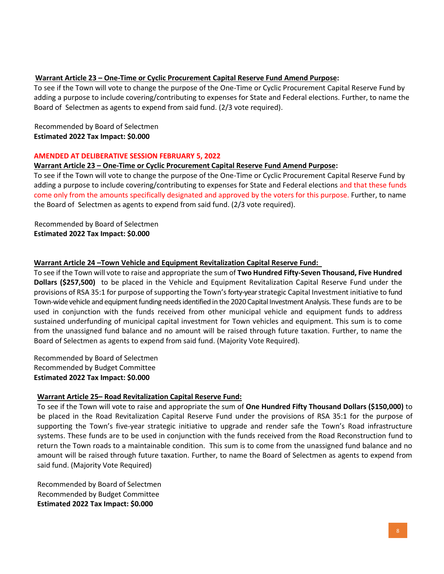# **Warrant Article 23 – One-Time or Cyclic Procurement Capital Reserve Fund Amend Purpose:**

To see if the Town will vote to change the purpose of the One-Time or Cyclic Procurement Capital Reserve Fund by adding a purpose to include covering/contributing to expenses for State and Federal elections. Further, to name the Board of Selectmen as agents to expend from said fund. (2/3 vote required).

# Recommended by Board of Selectmen **Estimated 2022 Tax Impact: \$0.000**

#### **AMENDED AT DELIBERATIVE SESSION FEBRUARY 5, 2022**

#### **Warrant Article 23 – One-Time or Cyclic Procurement Capital Reserve Fund Amend Purpose:**

To see if the Town will vote to change the purpose of the One-Time or Cyclic Procurement Capital Reserve Fund by adding a purpose to include covering/contributing to expenses for State and Federal elections and that these funds come only from the amounts specifically designated and approved by the voters for this purpose. Further, to name the Board of Selectmen as agents to expend from said fund. (2/3 vote required).

 Recommended by Board of Selectmen **Estimated 2022 Tax Impact: \$0.000** 

#### **Warrant Article 24 –Town Vehicle and Equipment Revitalization Capital Reserve Fund:**

To see if the Town will vote to raise and appropriate the sum of **Two Hundred Fifty-Seven Thousand, Five Hundred Dollars (\$257,500)** to be placed in the Vehicle and Equipment Revitalization Capital Reserve Fund under the provisions of RSA 35:1 for purpose of supporting the Town's forty-year strategic Capital Investment initiative to fund Town-wide vehicle and equipment funding needs identified in the 2020 Capital Investment Analysis. These funds are to be used in conjunction with the funds received from other municipal vehicle and equipment funds to address sustained underfunding of municipal capital investment for Town vehicles and equipment. This sum is to come from the unassigned fund balance and no amount will be raised through future taxation. Further, to name the Board of Selectmen as agents to expend from said fund. (Majority Vote Required).

Recommended by Board of Selectmen Recommended by Budget Committee **Estimated 2022 Tax Impact: \$0.000**

### **Warrant Article 25– Road Revitalization Capital Reserve Fund:**

To see if the Town will vote to raise and appropriate the sum of **One Hundred Fifty Thousand Dollars (\$150,000)** to be placed in the Road Revitalization Capital Reserve Fund under the provisions of RSA 35:1 for the purpose of supporting the Town's five-year strategic initiative to upgrade and render safe the Town's Road infrastructure systems. These funds are to be used in conjunction with the funds received from the Road Reconstruction fund to return the Town roads to a maintainable condition. This sum is to come from the unassigned fund balance and no amount will be raised through future taxation. Further, to name the Board of Selectmen as agents to expend from said fund. (Majority Vote Required)

Recommended by Board of Selectmen Recommended by Budget Committee **Estimated 2022 Tax Impact: \$0.000**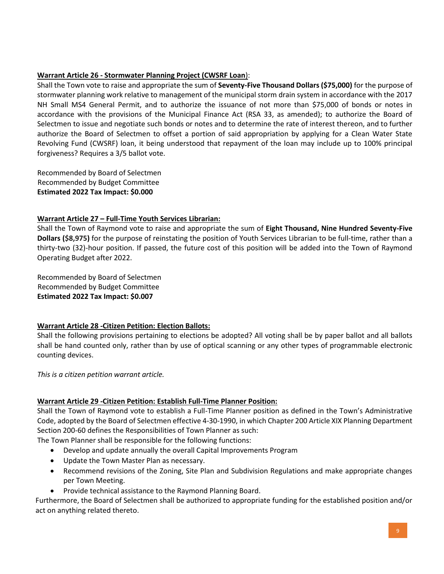# **Warrant Article 26 - Stormwater Planning Project (CWSRF Loan**):

Shall the Town vote to raise and appropriate the sum of **Seventy-Five Thousand Dollars (\$75,000)** for the purpose of stormwater planning work relative to management of the municipal storm drain system in accordance with the 2017 NH Small MS4 General Permit, and to authorize the issuance of not more than \$75,000 of bonds or notes in accordance with the provisions of the Municipal Finance Act (RSA 33, as amended); to authorize the Board of Selectmen to issue and negotiate such bonds or notes and to determine the rate of interest thereon, and to further authorize the Board of Selectmen to offset a portion of said appropriation by applying for a Clean Water State Revolving Fund (CWSRF) loan, it being understood that repayment of the loan may include up to 100% principal forgiveness? Requires a 3/5 ballot vote.

Recommended by Board of Selectmen Recommended by Budget Committee **Estimated 2022 Tax Impact: \$0.000**

# **Warrant Article 27 – Full-Time Youth Services Librarian:**

Shall the Town of Raymond vote to raise and appropriate the sum of **Eight Thousand, Nine Hundred Seventy-Five Dollars (\$8,975)** for the purpose of reinstating the position of Youth Services Librarian to be full-time, rather than a thirty-two (32)-hour position. If passed, the future cost of this position will be added into the Town of Raymond Operating Budget after 2022.

Recommended by Board of Selectmen Recommended by Budget Committee **Estimated 2022 Tax Impact: \$0.007**

### **Warrant Article 28 -Citizen Petition: Election Ballots:**

Shall the following provisions pertaining to elections be adopted? All voting shall be by paper ballot and all ballots shall be hand counted only, rather than by use of optical scanning or any other types of programmable electronic counting devices.

*This is a citizen petition warrant article.*

# **Warrant Article 29 -Citizen Petition: Establish Full-Time Planner Position:**

Shall the Town of Raymond vote to establish a Full-Time Planner position as defined in the Town's Administrative Code, adopted by the Board of Selectmen effective 4-30-1990, in which Chapter 200 Article XIX Planning Department Section 200-60 defines the Responsibilities of Town Planner as such:

The Town Planner shall be responsible for the following functions:

- Develop and update annually the overall Capital Improvements Program
- Update the Town Master Plan as necessary.
- Recommend revisions of the Zoning, Site Plan and Subdivision Regulations and make appropriate changes per Town Meeting.
- Provide technical assistance to the Raymond Planning Board.

Furthermore, the Board of Selectmen shall be authorized to appropriate funding for the established position and/or act on anything related thereto.